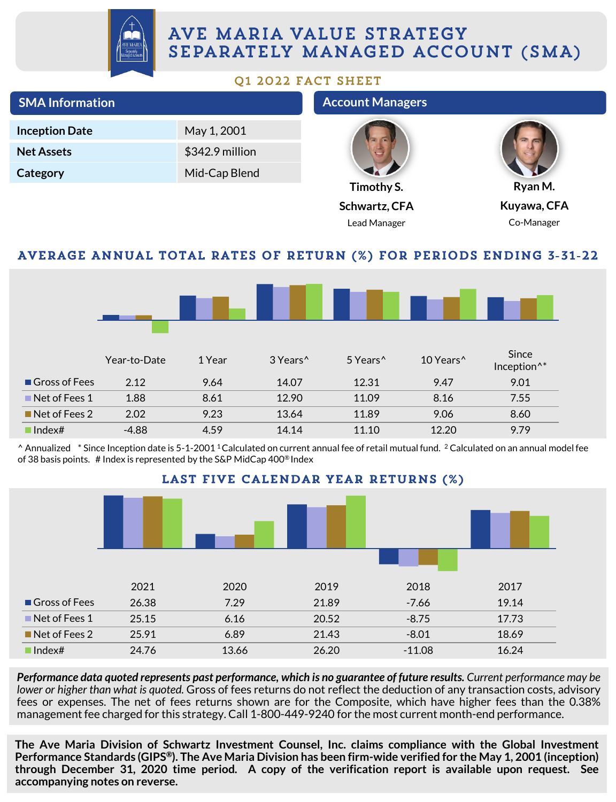

## AVE MARIA VALUE STRATEGY SEPARATELY MANAGED ACCOUNT (SMA)

#### Q1 2022 FACT SHEET

| <b>SMA Information</b>                                              |              |                 |                      | <b>Account Managers</b> |                       |                                  |  |
|---------------------------------------------------------------------|--------------|-----------------|----------------------|-------------------------|-----------------------|----------------------------------|--|
| <b>Inception Date</b>                                               |              | May 1, 2001     |                      |                         |                       |                                  |  |
| <b>Net Assets</b>                                                   |              | \$342.9 million |                      |                         |                       |                                  |  |
| Category                                                            |              | Mid-Cap Blend   |                      |                         |                       |                                  |  |
|                                                                     |              |                 |                      | Timothy S.              |                       | Ryan M.                          |  |
|                                                                     |              |                 |                      | Schwartz, CFA           |                       | Kuyawa, CFA                      |  |
|                                                                     |              |                 |                      | Lead Manager            |                       | Co-Manager                       |  |
| AVERAGE ANNUAL TOTAL RATES OF RETURN (%) FOR PERIODS ENDING 3-31-22 |              |                 |                      |                         |                       |                                  |  |
|                                                                     |              |                 |                      |                         |                       |                                  |  |
|                                                                     |              |                 |                      |                         |                       |                                  |  |
|                                                                     | Year-to-Date | 1 Year          | 3 Years <sup>^</sup> | 5 Years <sup>^</sup>    | 10 Years <sup>^</sup> | Since<br>Inception <sup>^*</sup> |  |
| Gross of Fees                                                       | 2.12         | 9.64            | 14.07                | 12.31                   | 9.47                  | 9.01                             |  |
| Net of Fees 1                                                       | 1.88         | 8.61            | 12.90                | 11.09                   | 8.16                  | 7.55                             |  |
| $\blacksquare$ Net of Fees 2                                        | 2.02         | 9.23            | 13.64                | 11.89                   | 9.06                  | 8.60                             |  |
| $\blacksquare$ Index#                                               | $-4.88$      | 4.59            | 14.14                | 11.10                   | 12.20                 | 9.79                             |  |

 $^{\circ}$  Annualized  $^*$  Since Inception date is 5-1-2001 <sup>1</sup>Calculated on current annual fee of retail mutual fund. <sup>2</sup> Calculated on an annual model fee of 38 basis points. # Index is represented by the S&P MidCap 400® Index



Performance data quoted represents past performance, which is no guarantee of future results. Current performance may be *lower or higher than what is quoted.* Gross of fees returns do not reflect the deduction of any transaction costs, advisory fees or expenses. The net of fees returns shown are for the Composite, which have higher fees than the 0.38% management fee charged for this strategy. Call 1-800-449-9240 for the most current month-end performance.

**The Ave Maria Division of Schwartz Investment Counsel, Inc. claims compliance with the Global Investment** Performance Standards (GIPS®). The Ave Maria Division has been firm-wide verified for the May 1, 2001 (inception) **through December 31, 2020 time period. A copy of the verification report is available upon request. See accompanying notes on reverse.**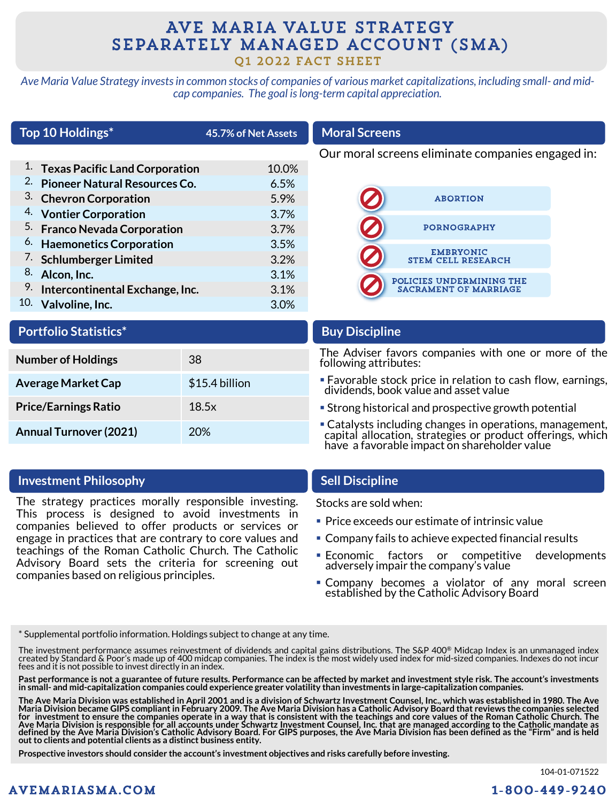# AVE MARIA VALUE STRATEGY SEPARATELY MANAGED ACCOUNT (SMA)

Q1 2022 FACT SHEET

*Ave Maria Value Strategy invests in common stocks of companies of various market capitalizations, including small- and midcap companies. The goal is long-term capital appreciation.*

|     | Top 10 Holdings*                             | 45.7% of Net Assets | <b>Moral Screens</b>                              |                              |  |  |
|-----|----------------------------------------------|---------------------|---------------------------------------------------|------------------------------|--|--|
|     |                                              |                     | Our moral screens eliminate companies engaged in: |                              |  |  |
|     | <sup>1.</sup> Texas Pacific Land Corporation | 10.0%               |                                                   |                              |  |  |
| 2.  | <b>Pioneer Natural Resources Co.</b>         | 6.5%                |                                                   |                              |  |  |
|     | 3. Chevron Corporation                       | 5.9%                |                                                   | <b>ABORTION</b>              |  |  |
|     | 4. Vontier Corporation                       | 3.7%                |                                                   |                              |  |  |
|     | <sup>5.</sup> Franco Nevada Corporation      | $3.7\%$             |                                                   | <b>PORNOGRAPHY</b>           |  |  |
|     | <sup>6.</sup> Haemonetics Corporation        | 3.5%                |                                                   | <b>EMBRYONIC</b>             |  |  |
|     | <sup>7.</sup> Schlumberger Limited           | 3.2%                |                                                   | <b>STEM CELL RESEARCH</b>    |  |  |
| 8.  | Alcon, Inc.                                  | 3.1%                |                                                   | POLICIES UNDERMINING THE     |  |  |
| 9.  | Intercontinental Exchange, Inc.              | 3.1%                |                                                   | <b>SACRAMENT OF MARRIAGE</b> |  |  |
| 10. | Valvoline, Inc.                              | 3.0%                |                                                   |                              |  |  |

| <b>Portfolio Statistics*</b> |  |  |
|------------------------------|--|--|

| <b>Number of Holdings</b>     | 38             |
|-------------------------------|----------------|
| <b>Average Market Cap</b>     | \$15.4 billion |
| <b>Price/Earnings Ratio</b>   | 18.5x          |
| <b>Annual Turnover (2021)</b> | 20%            |

#### **Investment Philosophy Sell Discipline**

The strategy practices morally responsible investing. This process is designed to avoid investments in companies believed to offer products or services or engage in practices that are contrary to core values and teachings of the Roman Catholic Church. The Catholic Advisory Board sets the criteria for screening out companies based on religious principles.

#### **Buy Discipline**

The Adviser favors companies with one or more of the following attributes:

- Favorable stock price in relation to cash flow, earnings, dividends, book value and asset value
- **Example 1** Strong historical and prospective growth potential
- **Catalysts including changes in operations, management,** capital allocation, strategies or product offerings, which have a favorable impact on shareholder value

Stocks are sold when:

- Price exceeds our estimate of intrinsic value
- Company fails to achieve expected financial results
- Economic factors or competitive developments adversely impair the company's value
- **Company becomes a violator of any moral screen** established by the Catholic Advisory Board

\* Supplemental portfolio information. Holdings subject to change at any time.

The investment performance assumes reinvestment of dividends and capital gains distributions. The S&P 400® Midcap Index is an unmanaged index<br>created by Standard & Poor's made up of 400 midcap companies. The index is the m fees and it is not possible to invest directly in an index.

Past performance is not a guarantee of future results. Performance can be affected by market and investment style risk. The account's investments in small- and mid-capitalization companies could experience greater volatility than investments in large-capitalization companies.

The Ave Maria Division was established in April 2001 and is a division of Schwartz Investment Counsel, Inc., which was established in 1980. The Ave<br>Maria Division became GIPS compliant in February 2009. The Ave Maria Divis defined by the Ave Maria Division's Catholic Advisory Board. For GIPS purposes, the Ave Maria Division has been defined as the "Firm" and is held **out to clients and potential clients as a distinct business entity.**

**Prospective investors should consider the account's investment objectives and risks carefully before investing.**

104-01-071522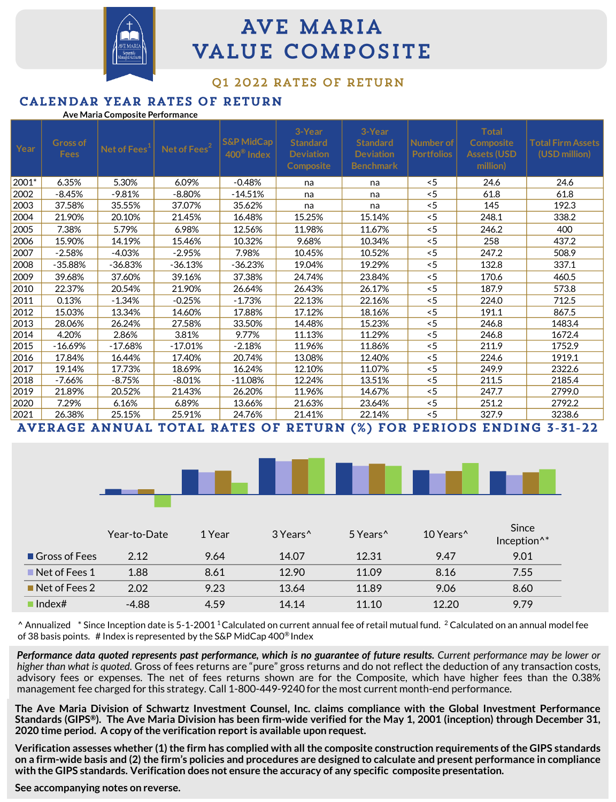

# **AVE MARIA VALUE COMPOSITE**

#### 01 2022 RATES OF RETURN

#### CALENDAR YEAR RATES OF RETURN

|  | Ave Maria Composite Performance |
|--|---------------------------------|
|  |                                 |

| Year  | <b>Gross of</b><br><b>Fees</b> | Net of Fees <sup>1</sup> | Net of Fees <sup>2</sup> | <b>S&amp;P MidCap</b><br>$400^{\circ}$ Index | 3-Year<br><b>Standard</b><br><b>Deviation</b><br><b>Composite</b> | 3-Year<br><b>Standard</b><br><b>Deviation</b><br><b>Benchmark</b> | Number of<br><b>Portfolios</b> | <b>Total</b><br><b>Composite</b><br><b>Assets (USD</b><br>million) | <b>Total Firm Assets</b><br>(USD million) |
|-------|--------------------------------|--------------------------|--------------------------|----------------------------------------------|-------------------------------------------------------------------|-------------------------------------------------------------------|--------------------------------|--------------------------------------------------------------------|-------------------------------------------|
| 2001* | 6.35%                          | 5.30%                    | 6.09%                    | $-0.48%$                                     | na                                                                | na                                                                | < 5                            | 24.6                                                               | 24.6                                      |
| 2002  | $-8.45%$                       | $-9.81%$                 | $-8.80%$                 | $-14.51%$                                    | na                                                                | na                                                                | < 5                            | 61.8                                                               | 61.8                                      |
| 2003  | 37.58%                         | 35.55%                   | 37.07%                   | 35.62%                                       | na                                                                | na                                                                | < 5                            | 145                                                                | 192.3                                     |
| 2004  | 21.90%                         | 20.10%                   | 21.45%                   | 16.48%                                       | 15.25%                                                            | 15.14%                                                            | < 5                            | 248.1                                                              | 338.2                                     |
| 2005  | 7.38%                          | 5.79%                    | 6.98%                    | 12.56%                                       | 11.98%                                                            | 11.67%                                                            | $<$ 5                          | 246.2                                                              | 400                                       |
| 2006  | 15.90%                         | 14.19%                   | 15.46%                   | 10.32%                                       | 9.68%                                                             | 10.34%                                                            | < 5                            | 258                                                                | 437.2                                     |
| 2007  | $-2.58%$                       | $-4.03%$                 | $-2.95%$                 | 7.98%                                        | 10.45%                                                            | 10.52%                                                            | < 5                            | 247.2                                                              | 508.9                                     |
| 2008  | $-35.88%$                      | -36.83%                  | -36.13%                  | $-36.23%$                                    | 19.04%                                                            | 19.29%                                                            | < 5                            | 132.8                                                              | 337.1                                     |
| 2009  | 39.68%                         | 37.60%                   | 39.16%                   | 37.38%                                       | 24.74%                                                            | 23.84%                                                            | < 5                            | 170.6                                                              | 460.5                                     |
| 2010  | 22.37%                         | 20.54%                   | 21.90%                   | 26.64%                                       | 26.43%                                                            | 26.17%                                                            | < 5                            | 187.9                                                              | 573.8                                     |
| 2011  | 0.13%                          | $-1.34%$                 | $-0.25%$                 | $-1.73%$                                     | 22.13%                                                            | 22.16%                                                            | < 5                            | 224.0                                                              | 712.5                                     |
| 2012  | 15.03%                         | 13.34%                   | 14.60%                   | 17.88%                                       | 17.12%                                                            | 18.16%                                                            | < 5                            | 191.1                                                              | 867.5                                     |
| 2013  | 28.06%                         | 26.24%                   | 27.58%                   | 33.50%                                       | 14.48%                                                            | 15.23%                                                            | < 5                            | 246.8                                                              | 1483.4                                    |
| 2014  | 4.20%                          | 2.86%                    | 3.81%                    | 9.77%                                        | 11.13%                                                            | 11.29%                                                            | 5                              | 246.8                                                              | 1672.4                                    |
| 2015  | $-16.69%$                      | $-17.68%$                | $-17.01%$                | $-2.18%$                                     | 11.96%                                                            | 11.86%                                                            | 5                              | 211.9                                                              | 1752.9                                    |
| 2016  | 17.84%                         | 16.44%                   | 17.40%                   | 20.74%                                       | 13.08%                                                            | 12.40%                                                            | 5                              | 224.6                                                              | 1919.1                                    |
| 2017  | 19.14%                         | 17.73%                   | 18.69%                   | 16.24%                                       | 12.10%                                                            | 11.07%                                                            | < 5                            | 249.9                                                              | 2322.6                                    |
| 2018  | -7.66%                         | -8.75%                   | $-8.01%$                 | $-11.08%$                                    | 12.24%                                                            | 13.51%                                                            | < 5                            | 211.5                                                              | 2185.4                                    |
| 2019  | 21.89%                         | 20.52%                   | 21.43%                   | 26.20%                                       | 11.96%                                                            | 14.67%                                                            | < 5                            | 247.7                                                              | 2799.0                                    |
| 2020  | 7.29%                          | 6.16%                    | 6.89%                    | 13.66%                                       | 21.63%                                                            | 23.64%                                                            | < 5                            | 251.2                                                              | 2792.2                                    |
| 2021  | 26.38%                         | 25.15%                   | 25.91%                   | 24.76%                                       | 21.41%                                                            | 22.14%                                                            | < 5                            | 327.9                                                              | 3238.6                                    |

AVERAGE ANNUAL TOTAL RATES OF RETURN (%) FOR PERIODS ENDING 3-31-22

|                              | Year-to-Date | 1 Year | 3 Years <sup>^</sup> | 5 Years <sup>^</sup> | 10 Years <sup>^</sup> | Since<br>Inception <sup>^*</sup> |
|------------------------------|--------------|--------|----------------------|----------------------|-----------------------|----------------------------------|
| Gross of Fees                | 2.12         | 9.64   | 14.07                | 12.31                | 9.47                  | 9.01                             |
| $\blacksquare$ Net of Fees 1 | 1.88         | 8.61   | 12.90                | 11.09                | 8.16                  | 7.55                             |
| $\blacksquare$ Net of Fees 2 | 2.02         | 9.23   | 13.64                | 11.89                | 9.06                  | 8.60                             |
| $\blacksquare$ Index#        | -4.88        | 4.59   | 14.14                | 11.10                | 12.20                 | 9.79                             |

 $^{\circ}$  Annualized  $^*$  Since Inception date is 5-1-2001 <sup>1</sup>Calculated on current annual fee of retail mutual fund. <sup>2</sup> Calculated on an annual model fee of 38 basis points. # Index is represented by the S&P MidCap 400® Index

Performance data quoted represents past performance, which is no guarantee of future results. Current performance may be lower or *higher than what is quoted.* Gross of fees returns are "pure" gross returns and do not reflect the deduction of any transaction costs, advisory fees or expenses. The net of fees returns shown are for the Composite, which have higher fees than the 0.38% management fee charged for this strategy. Call 1-800-449-9240 for the most current month-end performance.

The Ave Maria Division of Schwartz Investment Counsel, Inc. claims compliance with the Global Investment Performance Standards (GIPS®). The Ave Maria Division has been firm-wide verified for the May 1, 2001 (inception) through December 31, **2020 time period. A copy ofthe verification report is available upon request.**

Verification assesses whether (1) the firm has complied with all the composite construction requirements of the GIPS standards on a firm-wide basis and (2) the firm's policies and procedures are designed to calculate and present performance in compliance **with the GIPS standards. Verification does not ensure the accuracy of any specific composite presentation.**

**See accompanying notes on reverse.**